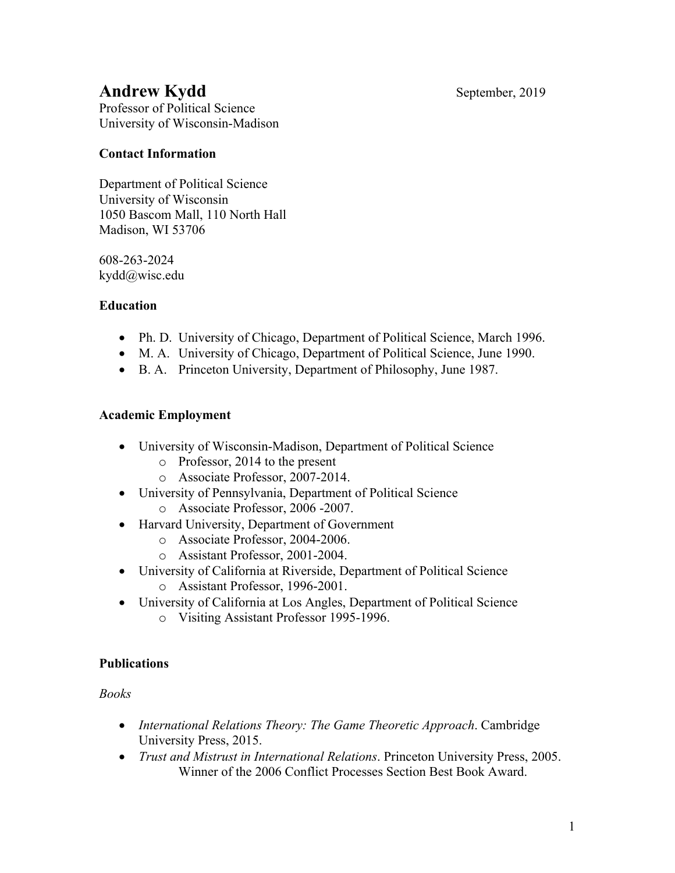# **Andrew Kydd** September, 2019

Professor of Political Science University of Wisconsin-Madison

# **Contact Information**

Department of Political Science University of Wisconsin 1050 Bascom Mall, 110 North Hall Madison, WI 53706

608-263-2024 kydd@wisc.edu

# **Education**

- Ph. D. University of Chicago, Department of Political Science, March 1996.
- M. A. University of Chicago, Department of Political Science, June 1990.
- B. A. Princeton University, Department of Philosophy, June 1987.

# **Academic Employment**

- University of Wisconsin-Madison, Department of Political Science
	- o Professor, 2014 to the present
	- o Associate Professor, 2007-2014.
- University of Pennsylvania, Department of Political Science o Associate Professor, 2006 -2007.
- Harvard University, Department of Government
	- o Associate Professor, 2004-2006.
	- o Assistant Professor, 2001-2004.
- University of California at Riverside, Department of Political Science
	- o Assistant Professor, 1996-2001.
- University of California at Los Angles, Department of Political Science
	- o Visiting Assistant Professor 1995-1996.

## **Publications**

*Books*

- *International Relations Theory: The Game Theoretic Approach*. Cambridge University Press, 2015.
- *Trust and Mistrust in International Relations*. Princeton University Press, 2005. Winner of the 2006 Conflict Processes Section Best Book Award.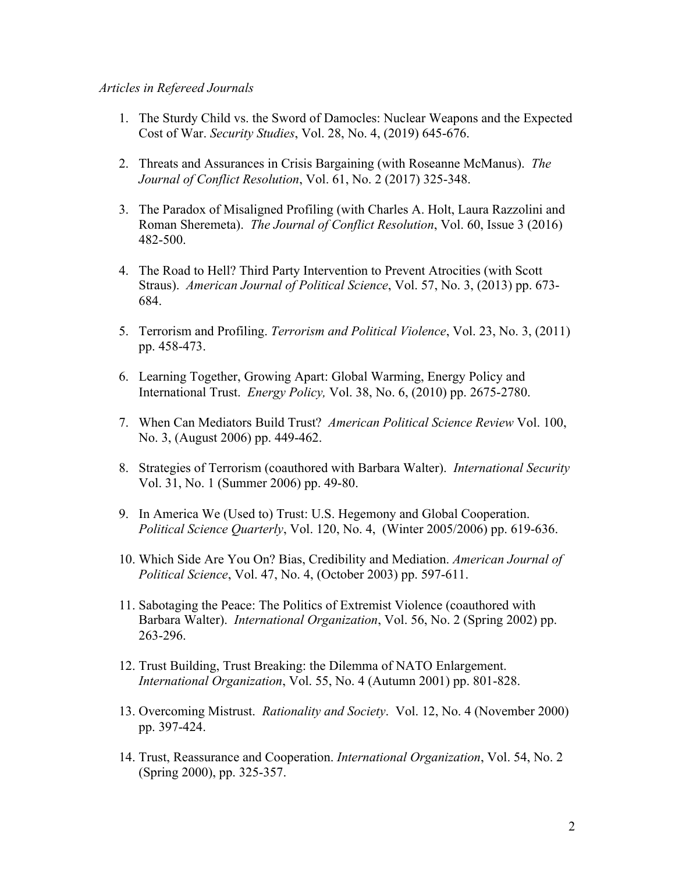#### *Articles in Refereed Journals*

- 1. The Sturdy Child vs. the Sword of Damocles: Nuclear Weapons and the Expected Cost of War. *Security Studies*, Vol. 28, No. 4, (2019) 645-676.
- 2. Threats and Assurances in Crisis Bargaining (with Roseanne McManus). *The Journal of Conflict Resolution*, Vol. 61, No. 2 (2017) 325-348.
- 3. The Paradox of Misaligned Profiling (with Charles A. Holt, Laura Razzolini and Roman Sheremeta). *The Journal of Conflict Resolution*, Vol. 60, Issue 3 (2016) 482-500.
- 4. The Road to Hell? Third Party Intervention to Prevent Atrocities (with Scott Straus). *American Journal of Political Science*, Vol. 57, No. 3, (2013) pp. 673- 684.
- 5. Terrorism and Profiling. *Terrorism and Political Violence*, Vol. 23, No. 3, (2011) pp. 458-473.
- 6. Learning Together, Growing Apart: Global Warming, Energy Policy and International Trust. *Energy Policy,* Vol. 38, No. 6, (2010) pp. 2675-2780.
- 7. When Can Mediators Build Trust? *American Political Science Review* Vol. 100, No. 3, (August 2006) pp. 449-462.
- 8. Strategies of Terrorism (coauthored with Barbara Walter). *International Security* Vol. 31, No. 1 (Summer 2006) pp. 49-80.
- 9. In America We (Used to) Trust: U.S. Hegemony and Global Cooperation. *Political Science Quarterly*, Vol. 120, No. 4, (Winter 2005/2006) pp. 619-636.
- 10. Which Side Are You On? Bias, Credibility and Mediation. *American Journal of Political Science*, Vol. 47, No. 4, (October 2003) pp. 597-611.
- 11. Sabotaging the Peace: The Politics of Extremist Violence (coauthored with Barbara Walter). *International Organization*, Vol. 56, No. 2 (Spring 2002) pp. 263-296.
- 12. Trust Building, Trust Breaking: the Dilemma of NATO Enlargement. *International Organization*, Vol. 55, No. 4 (Autumn 2001) pp. 801-828.
- 13. Overcoming Mistrust. *Rationality and Society*. Vol. 12, No. 4 (November 2000) pp. 397-424.
- 14. Trust, Reassurance and Cooperation. *International Organization*, Vol. 54, No. 2 (Spring 2000), pp. 325-357.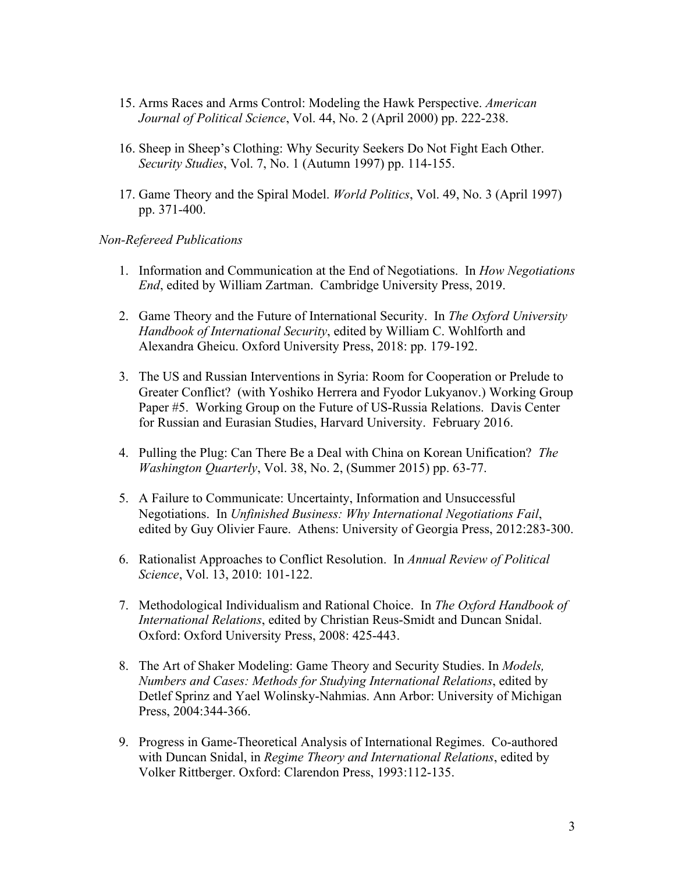- 15. Arms Races and Arms Control: Modeling the Hawk Perspective. *American Journal of Political Science*, Vol. 44, No. 2 (April 2000) pp. 222-238.
- 16. Sheep in Sheep's Clothing: Why Security Seekers Do Not Fight Each Other. *Security Studies*, Vol. 7, No. 1 (Autumn 1997) pp. 114-155.
- 17. Game Theory and the Spiral Model. *World Politics*, Vol. 49, No. 3 (April 1997) pp. 371-400.

#### *Non-Refereed Publications*

- 1. Information and Communication at the End of Negotiations. In *How Negotiations End*, edited by William Zartman. Cambridge University Press, 2019.
- 2. Game Theory and the Future of International Security. In *The Oxford University Handbook of International Security*, edited by William C. Wohlforth and Alexandra Gheicu. Oxford University Press, 2018: pp. 179-192.
- 3. The US and Russian Interventions in Syria: Room for Cooperation or Prelude to Greater Conflict? (with Yoshiko Herrera and Fyodor Lukyanov.) Working Group Paper #5. Working Group on the Future of US-Russia Relations. Davis Center for Russian and Eurasian Studies, Harvard University. February 2016.
- 4. Pulling the Plug: Can There Be a Deal with China on Korean Unification? *The Washington Quarterly*, Vol. 38, No. 2, (Summer 2015) pp. 63-77.
- 5. A Failure to Communicate: Uncertainty, Information and Unsuccessful Negotiations. In *Unfinished Business: Why International Negotiations Fail*, edited by Guy Olivier Faure. Athens: University of Georgia Press, 2012:283-300.
- 6. Rationalist Approaches to Conflict Resolution. In *Annual Review of Political Science*, Vol. 13, 2010: 101-122.
- 7. Methodological Individualism and Rational Choice. In *The Oxford Handbook of International Relations*, edited by Christian Reus-Smidt and Duncan Snidal. Oxford: Oxford University Press, 2008: 425-443.
- 8. The Art of Shaker Modeling: Game Theory and Security Studies. In *Models, Numbers and Cases: Methods for Studying International Relations*, edited by Detlef Sprinz and Yael Wolinsky-Nahmias. Ann Arbor: University of Michigan Press, 2004:344-366.
- 9. Progress in Game-Theoretical Analysis of International Regimes. Co-authored with Duncan Snidal, in *Regime Theory and International Relations*, edited by Volker Rittberger. Oxford: Clarendon Press, 1993:112-135.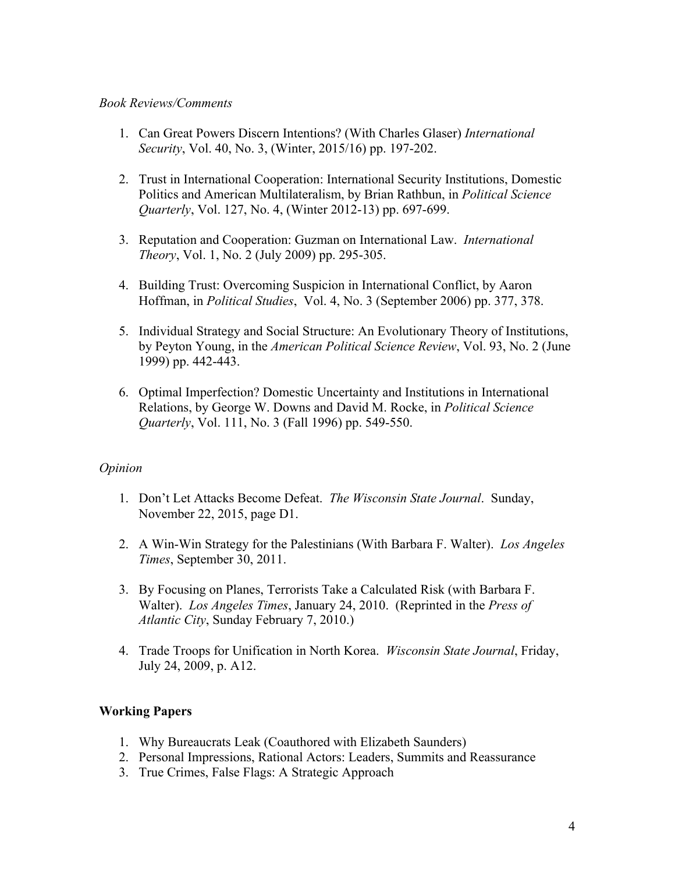#### *Book Reviews/Comments*

- 1. Can Great Powers Discern Intentions? (With Charles Glaser) *International Security*, Vol. 40, No. 3, (Winter, 2015/16) pp. 197-202.
- 2. Trust in International Cooperation: International Security Institutions, Domestic Politics and American Multilateralism, by Brian Rathbun, in *Political Science Quarterly*, Vol. 127, No. 4, (Winter 2012-13) pp. 697-699.
- 3. Reputation and Cooperation: Guzman on International Law. *International Theory*, Vol. 1, No. 2 (July 2009) pp. 295-305.
- 4. Building Trust: Overcoming Suspicion in International Conflict, by Aaron Hoffman, in *Political Studies*, Vol. 4, No. 3 (September 2006) pp. 377, 378.
- 5. Individual Strategy and Social Structure: An Evolutionary Theory of Institutions, by Peyton Young, in the *American Political Science Review*, Vol. 93, No. 2 (June 1999) pp. 442-443.
- 6. Optimal Imperfection? Domestic Uncertainty and Institutions in International Relations, by George W. Downs and David M. Rocke, in *Political Science Quarterly*, Vol. 111, No. 3 (Fall 1996) pp. 549-550.

## *Opinion*

- 1. Don't Let Attacks Become Defeat. *The Wisconsin State Journal*. Sunday, November 22, 2015, page D1.
- 2. A Win-Win Strategy for the Palestinians (With Barbara F. Walter). *Los Angeles Times*, September 30, 2011.
- 3. By Focusing on Planes, Terrorists Take a Calculated Risk (with Barbara F. Walter). *Los Angeles Times*, January 24, 2010. (Reprinted in the *Press of Atlantic City*, Sunday February 7, 2010.)
- 4. Trade Troops for Unification in North Korea. *Wisconsin State Journal*, Friday, July 24, 2009, p. A12.

## **Working Papers**

- 1. Why Bureaucrats Leak (Coauthored with Elizabeth Saunders)
- 2. Personal Impressions, Rational Actors: Leaders, Summits and Reassurance
- 3. True Crimes, False Flags: A Strategic Approach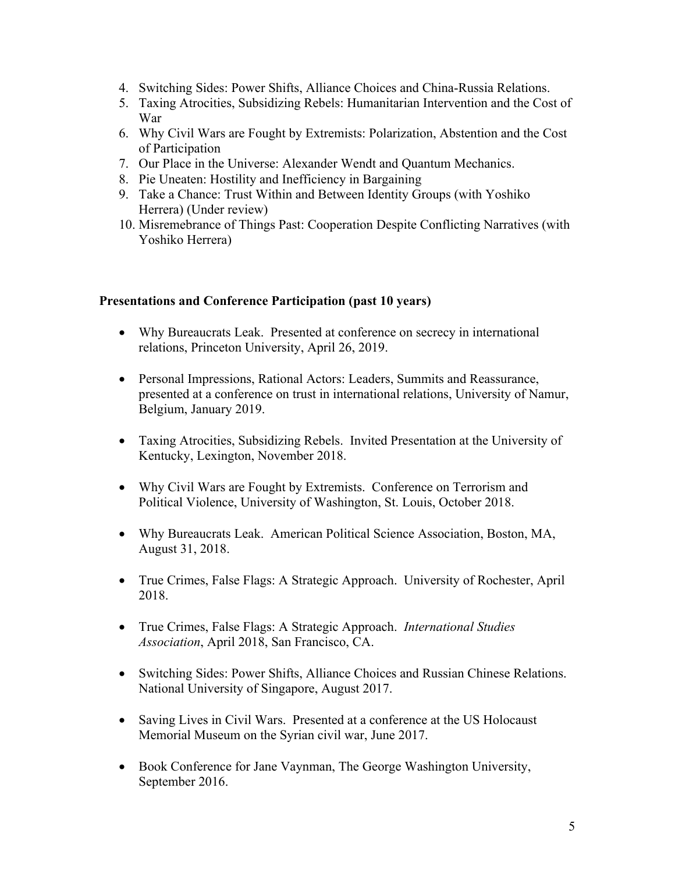- 4. Switching Sides: Power Shifts, Alliance Choices and China-Russia Relations.
- 5. Taxing Atrocities, Subsidizing Rebels: Humanitarian Intervention and the Cost of War
- 6. Why Civil Wars are Fought by Extremists: Polarization, Abstention and the Cost of Participation
- 7. Our Place in the Universe: Alexander Wendt and Quantum Mechanics.
- 8. Pie Uneaten: Hostility and Inefficiency in Bargaining
- 9. Take a Chance: Trust Within and Between Identity Groups (with Yoshiko Herrera) (Under review)
- 10. Misremebrance of Things Past: Cooperation Despite Conflicting Narratives (with Yoshiko Herrera)

#### **Presentations and Conference Participation (past 10 years)**

- Why Bureaucrats Leak. Presented at conference on secrecy in international relations, Princeton University, April 26, 2019.
- Personal Impressions, Rational Actors: Leaders, Summits and Reassurance, presented at a conference on trust in international relations, University of Namur, Belgium, January 2019.
- Taxing Atrocities, Subsidizing Rebels. Invited Presentation at the University of Kentucky, Lexington, November 2018.
- Why Civil Wars are Fought by Extremists. Conference on Terrorism and Political Violence, University of Washington, St. Louis, October 2018.
- Why Bureaucrats Leak. American Political Science Association, Boston, MA, August 31, 2018.
- True Crimes, False Flags: A Strategic Approach. University of Rochester, April 2018.
- True Crimes, False Flags: A Strategic Approach. *International Studies Association*, April 2018, San Francisco, CA.
- Switching Sides: Power Shifts, Alliance Choices and Russian Chinese Relations. National University of Singapore, August 2017.
- Saving Lives in Civil Wars. Presented at a conference at the US Holocaust Memorial Museum on the Syrian civil war, June 2017.
- Book Conference for Jane Vaynman, The George Washington University, September 2016.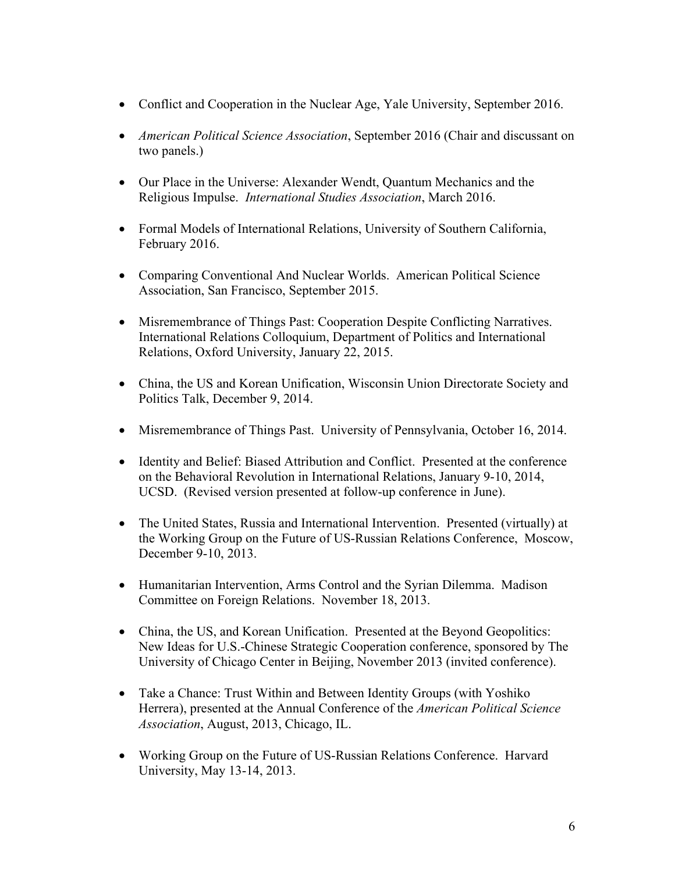- Conflict and Cooperation in the Nuclear Age, Yale University, September 2016.
- *American Political Science Association*, September 2016 (Chair and discussant on two panels.)
- Our Place in the Universe: Alexander Wendt, Quantum Mechanics and the Religious Impulse. *International Studies Association*, March 2016.
- Formal Models of International Relations, University of Southern California, February 2016.
- Comparing Conventional And Nuclear Worlds. American Political Science Association, San Francisco, September 2015.
- Misremembrance of Things Past: Cooperation Despite Conflicting Narratives. International Relations Colloquium, Department of Politics and International Relations, Oxford University, January 22, 2015.
- China, the US and Korean Unification, Wisconsin Union Directorate Society and Politics Talk, December 9, 2014.
- Misremembrance of Things Past. University of Pennsylvania, October 16, 2014.
- Identity and Belief: Biased Attribution and Conflict. Presented at the conference on the Behavioral Revolution in International Relations, January 9-10, 2014, UCSD. (Revised version presented at follow-up conference in June).
- The United States, Russia and International Intervention. Presented (virtually) at the Working Group on the Future of US-Russian Relations Conference, Moscow, December 9-10, 2013.
- Humanitarian Intervention, Arms Control and the Syrian Dilemma. Madison Committee on Foreign Relations. November 18, 2013.
- China, the US, and Korean Unification. Presented at the Beyond Geopolitics: New Ideas for U.S.-Chinese Strategic Cooperation conference, sponsored by The University of Chicago Center in Beijing, November 2013 (invited conference).
- Take a Chance: Trust Within and Between Identity Groups (with Yoshiko Herrera), presented at the Annual Conference of the *American Political Science Association*, August, 2013, Chicago, IL.
- Working Group on the Future of US-Russian Relations Conference. Harvard University, May 13-14, 2013.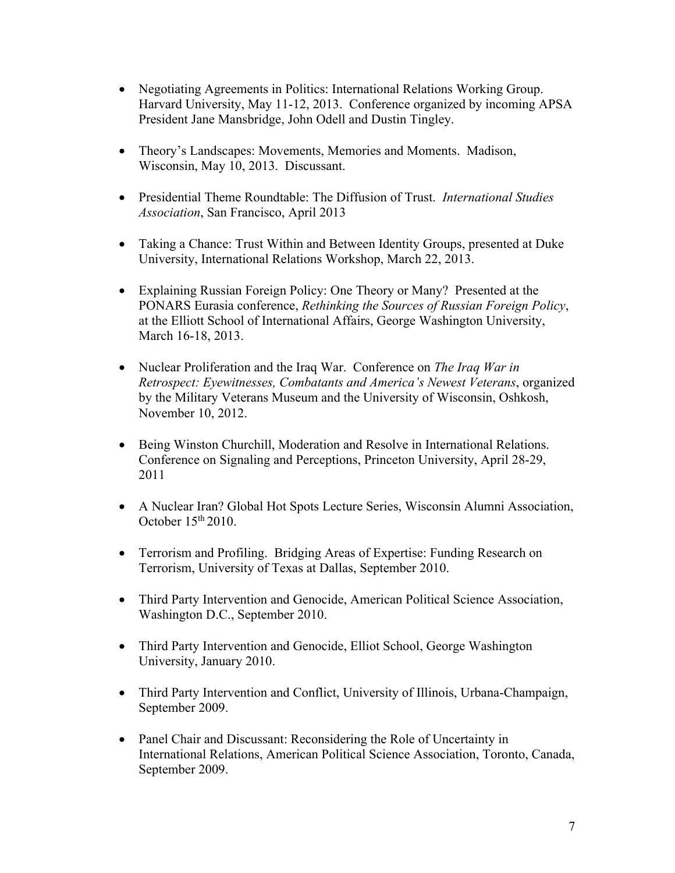- Negotiating Agreements in Politics: International Relations Working Group. Harvard University, May 11-12, 2013. Conference organized by incoming APSA President Jane Mansbridge, John Odell and Dustin Tingley.
- Theory's Landscapes: Movements, Memories and Moments. Madison, Wisconsin, May 10, 2013. Discussant.
- Presidential Theme Roundtable: The Diffusion of Trust. *International Studies Association*, San Francisco, April 2013
- Taking a Chance: Trust Within and Between Identity Groups, presented at Duke University, International Relations Workshop, March 22, 2013.
- Explaining Russian Foreign Policy: One Theory or Many? Presented at the PONARS Eurasia conference, *Rethinking the Sources of Russian Foreign Policy*, at the Elliott School of International Affairs, George Washington University, March 16-18, 2013.
- Nuclear Proliferation and the Iraq War. Conference on *The Iraq War in Retrospect: Eyewitnesses, Combatants and America's Newest Veterans*, organized by the Military Veterans Museum and the University of Wisconsin, Oshkosh, November 10, 2012.
- Being Winston Churchill, Moderation and Resolve in International Relations. Conference on Signaling and Perceptions, Princeton University, April 28-29, 2011
- A Nuclear Iran? Global Hot Spots Lecture Series, Wisconsin Alumni Association, October  $15<sup>th</sup> 2010$ .
- Terrorism and Profiling. Bridging Areas of Expertise: Funding Research on Terrorism, University of Texas at Dallas, September 2010.
- Third Party Intervention and Genocide, American Political Science Association, Washington D.C., September 2010.
- Third Party Intervention and Genocide, Elliot School, George Washington University, January 2010.
- Third Party Intervention and Conflict, University of Illinois, Urbana-Champaign, September 2009.
- Panel Chair and Discussant: Reconsidering the Role of Uncertainty in International Relations, American Political Science Association, Toronto, Canada, September 2009.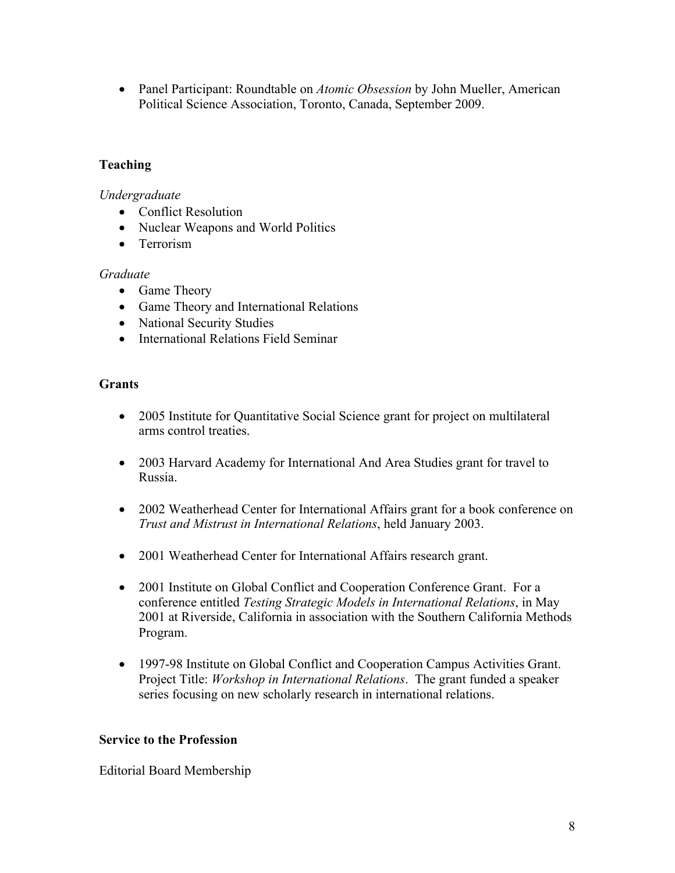• Panel Participant: Roundtable on *Atomic Obsession* by John Mueller, American Political Science Association, Toronto, Canada, September 2009.

## **Teaching**

*Undergraduate*

- Conflict Resolution
- Nuclear Weapons and World Politics
- Terrorism

## *Graduate*

- Game Theory
- Game Theory and International Relations
- National Security Studies
- International Relations Field Seminar

#### **Grants**

- 2005 Institute for Quantitative Social Science grant for project on multilateral arms control treaties.
- 2003 Harvard Academy for International And Area Studies grant for travel to Russia.
- 2002 Weatherhead Center for International Affairs grant for a book conference on *Trust and Mistrust in International Relations*, held January 2003.
- 2001 Weatherhead Center for International Affairs research grant.
- 2001 Institute on Global Conflict and Cooperation Conference Grant. For a conference entitled *Testing Strategic Models in International Relations*, in May 2001 at Riverside, California in association with the Southern California Methods Program.
- 1997-98 Institute on Global Conflict and Cooperation Campus Activities Grant. Project Title: *Workshop in International Relations*. The grant funded a speaker series focusing on new scholarly research in international relations.

## **Service to the Profession**

Editorial Board Membership